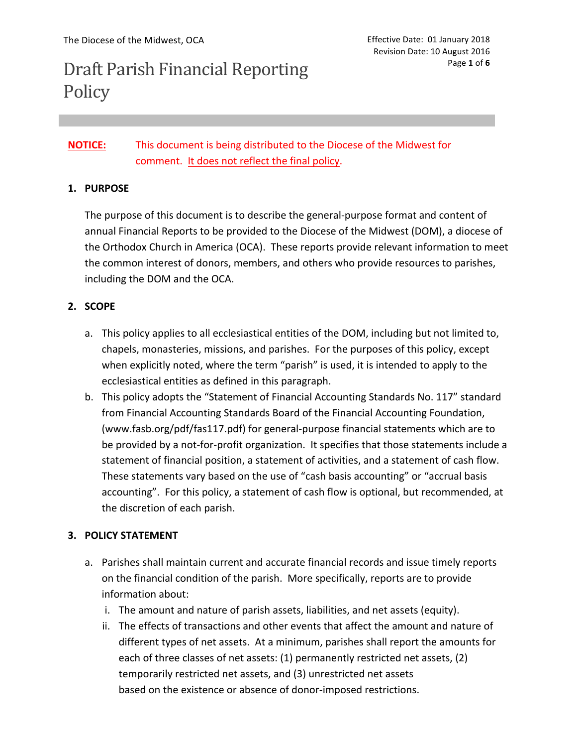# Draft Parish Financial Reporting **Policy**

# **NOTICE:** This document is being distributed to the Diocese of the Midwest for comment. It does not reflect the final policy.

# **1. PURPOSE**

The purpose of this document is to describe the general-purpose format and content of annual Financial Reports to be provided to the Diocese of the Midwest (DOM), a diocese of the Orthodox Church in America (OCA). These reports provide relevant information to meet the common interest of donors, members, and others who provide resources to parishes, including the DOM and the OCA.

# **2. SCOPE**

- a. This policy applies to all ecclesiastical entities of the DOM, including but not limited to, chapels, monasteries, missions, and parishes. For the purposes of this policy, except when explicitly noted, where the term "parish" is used, it is intended to apply to the ecclesiastical entities as defined in this paragraph.
- b. This policy adopts the "Statement of Financial Accounting Standards No. 117" standard from Financial Accounting Standards Board of the Financial Accounting Foundation, (www.fasb.org/pdf/fas117.pdf) for general-purpose financial statements which are to be provided by a not-for-profit organization. It specifies that those statements include a statement of financial position, a statement of activities, and a statement of cash flow. These statements vary based on the use of "cash basis accounting" or "accrual basis accounting". For this policy, a statement of cash flow is optional, but recommended, at the discretion of each parish.

# **3. POLICY STATEMENT**

- a. Parishes shall maintain current and accurate financial records and issue timely reports on the financial condition of the parish. More specifically, reports are to provide information about:
	- i. The amount and nature of parish assets, liabilities, and net assets (equity).
	- ii. The effects of transactions and other events that affect the amount and nature of different types of net assets. At a minimum, parishes shall report the amounts for each of three classes of net assets: (1) permanently restricted net assets, (2) temporarily restricted net assets, and (3) unrestricted net assets based on the existence or absence of donor-imposed restrictions.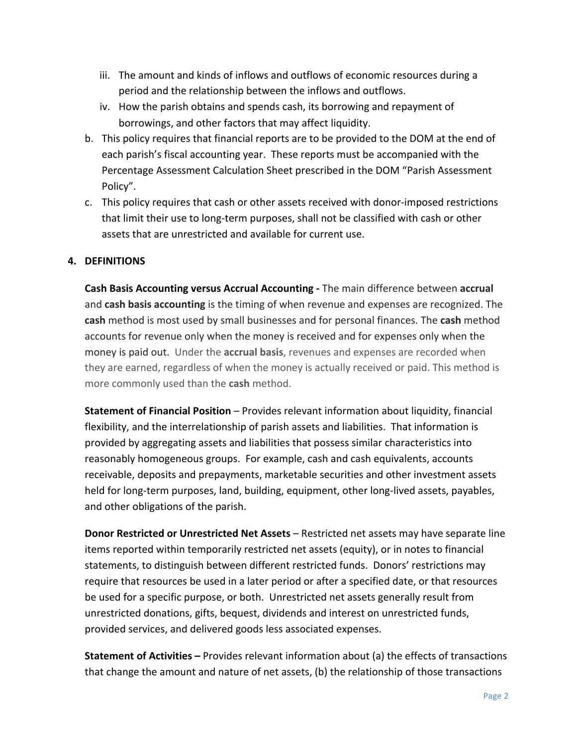- iii. The amount and kinds of inflows and outflows of economic resources during a period and the relationship between the inflows and outflows.
- iv. How the parish obtains and spends cash, its borrowing and repayment of borrowings, and other factors that may affect liquidity.
- b. This policy requires that financial reports are to be provided to the DOM at the end of each parish's fiscal accounting year. These reports must be accompanied with the Percentage Assessment Calculation Sheet prescribed in the DOM "Parish Assessment Policy".
- c. This policy requires that cash or other assets received with donor-imposed restrictions that limit their use to long-term purposes, shall not be classified with cash or other assets that are unrestricted and available for current use.

# **4. DEFINITIONS**

**Cash Basis Accounting versus Accrual Accounting** - The main difference between accrual and **cash basis accounting** is the timing of when revenue and expenses are recognized. The **cash** method is most used by small businesses and for personal finances. The **cash** method accounts for revenue only when the money is received and for expenses only when the money is paid out. Under the accrual basis, revenues and expenses are recorded when they are earned, regardless of when the money is actually received or paid. This method is more commonly used than the **cash** method.

**Statement of Financial Position** – Provides relevant information about liquidity, financial flexibility, and the interrelationship of parish assets and liabilities. That information is provided by aggregating assets and liabilities that possess similar characteristics into reasonably homogeneous groups. For example, cash and cash equivalents, accounts receivable, deposits and prepayments, marketable securities and other investment assets held for long-term purposes, land, building, equipment, other long-lived assets, payables, and other obligations of the parish.

**Donor Restricted or Unrestricted Net Assets** – Restricted net assets may have separate line items reported within temporarily restricted net assets (equity), or in notes to financial statements, to distinguish between different restricted funds. Donors' restrictions may require that resources be used in a later period or after a specified date, or that resources be used for a specific purpose, or both. Unrestricted net assets generally result from unrestricted donations, gifts, bequest, dividends and interest on unrestricted funds, provided services, and delivered goods less associated expenses.

**Statement of Activities** – Provides relevant information about (a) the effects of transactions that change the amount and nature of net assets, (b) the relationship of those transactions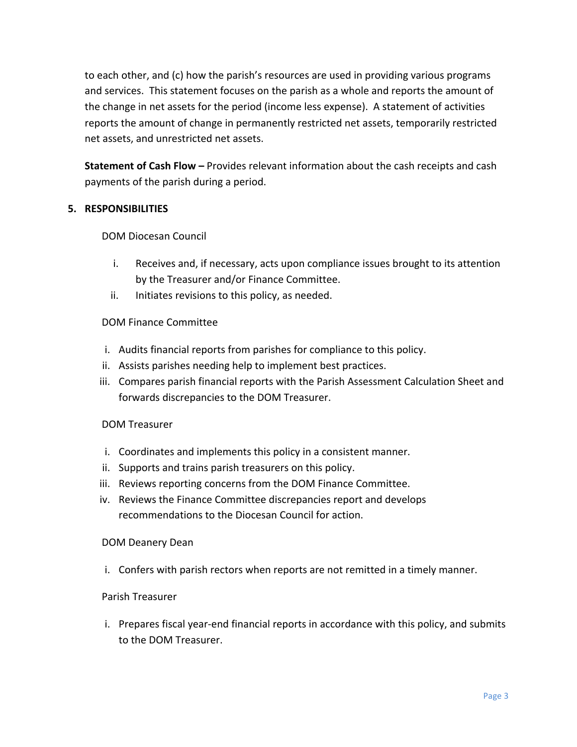to each other, and  $(c)$  how the parish's resources are used in providing various programs and services. This statement focuses on the parish as a whole and reports the amount of the change in net assets for the period (income less expense). A statement of activities reports the amount of change in permanently restricted net assets, temporarily restricted net assets, and unrestricted net assets.

**Statement of Cash Flow -** Provides relevant information about the cash receipts and cash payments of the parish during a period.

# **5. RESPONSIBILITIES**

DOM Diocesan Council

- i. Receives and, if necessary, acts upon compliance issues brought to its attention by the Treasurer and/or Finance Committee.
- ii. Initiates revisions to this policy, as needed.

# DOM Finance Committee

- i. Audits financial reports from parishes for compliance to this policy.
- ii. Assists parishes needing help to implement best practices.
- iii. Compares parish financial reports with the Parish Assessment Calculation Sheet and forwards discrepancies to the DOM Treasurer.

# DOM Treasurer

- i. Coordinates and implements this policy in a consistent manner.
- ii. Supports and trains parish treasurers on this policy.
- iii. Reviews reporting concerns from the DOM Finance Committee.
- iv. Reviews the Finance Committee discrepancies report and develops recommendations to the Diocesan Council for action.

# DOM Deanery Dean

i. Confers with parish rectors when reports are not remitted in a timely manner.

# Parish Treasurer

i. Prepares fiscal year-end financial reports in accordance with this policy, and submits to the DOM Treasurer.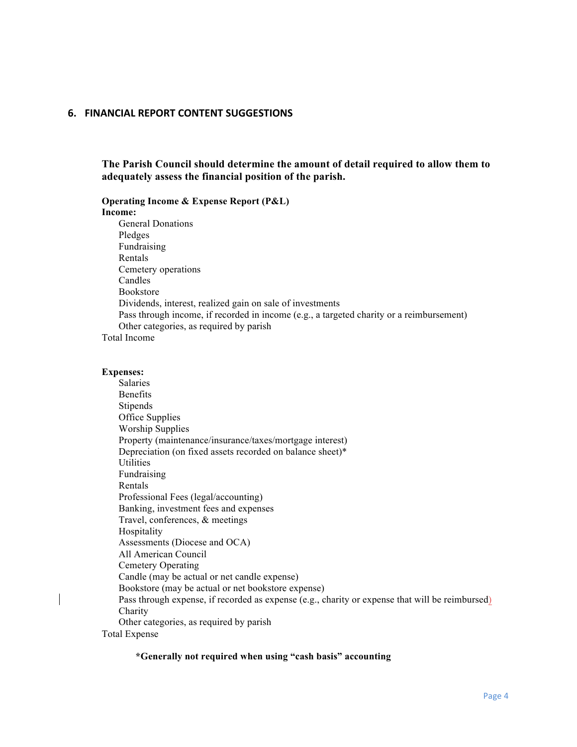### **6. FINANCIAL REPORT CONTENT SUGGESTIONS**

**The Parish Council should determine the amount of detail required to allow them to adequately assess the financial position of the parish.**

**Operating Income & Expense Report (P&L) Income:** General Donations Pledges Fundraising Rentals Cemetery operations Candles Bookstore Dividends, interest, realized gain on sale of investments Pass through income, if recorded in income (e.g., a targeted charity or a reimbursement) Other categories, as required by parish Total Income

#### **Expenses:**

Salaries Benefits **Stipends** Office Supplies Worship Supplies Property (maintenance/insurance/taxes/mortgage interest) Depreciation (on fixed assets recorded on balance sheet)\* Utilities Fundraising Rentals Professional Fees (legal/accounting) Banking, investment fees and expenses Travel, conferences, & meetings Hospitality Assessments (Diocese and OCA) All American Council Cemetery Operating Candle (may be actual or net candle expense) Bookstore (may be actual or net bookstore expense) Pass through expense, if recorded as expense (e.g., charity or expense that will be reimbursed) Charity Other categories, as required by parish Total Expense

#### **\*Generally not required when using "cash basis" accounting**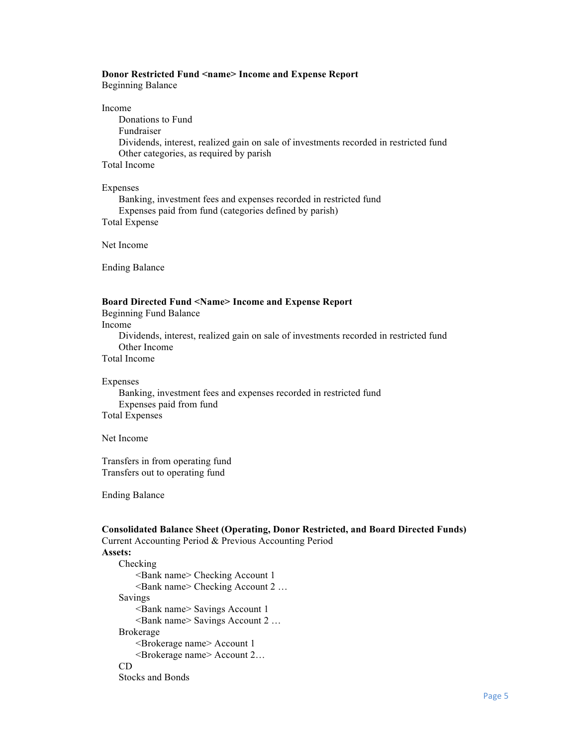#### **Donor Restricted Fund <name> Income and Expense Report**

Beginning Balance

#### Income

Donations to Fund Fundraiser Dividends, interest, realized gain on sale of investments recorded in restricted fund Other categories, as required by parish Total Income

### Expenses

Banking, investment fees and expenses recorded in restricted fund Expenses paid from fund (categories defined by parish) Total Expense

Net Income

Ending Balance

#### **Board Directed Fund <Name> Income and Expense Report**

Beginning Fund Balance

Income

Dividends, interest, realized gain on sale of investments recorded in restricted fund Other Income

Total Income

#### Expenses

Banking, investment fees and expenses recorded in restricted fund Expenses paid from fund Total Expenses

Net Income

Transfers in from operating fund Transfers out to operating fund

Ending Balance

### **Consolidated Balance Sheet (Operating, Donor Restricted, and Board Directed Funds)**

Current Accounting Period & Previous Accounting Period **Assets:**

Checking <Bank name> Checking Account 1 <Bank name> Checking Account 2 … Savings <Bank name> Savings Account 1 <Bank name> Savings Account 2 … Brokerage <Brokerage name> Account 1 <Brokerage name> Account 2… CD Stocks and Bonds